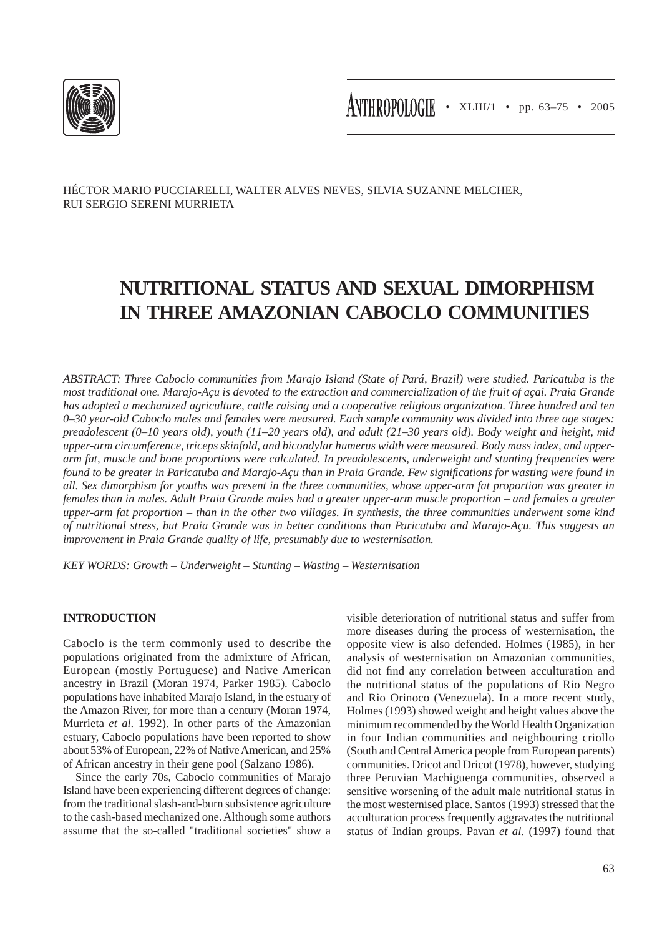

HÉCTOR MARIO PUCCIARELLI, WALTER ALVES NEVES, SILVIA SUZANNE MELCHER, RUI SERGIO SERENI MURRIETA

# **NUTRITIONAL STATUS AND SEXUAL DIMORPHISM IN THREE AMAZONIAN CABOCLO COMMUNITIES**

*ABSTRACT: Three Caboclo communities from Marajo Island (State of Pará, Brazil) were studied. Paricatuba is the most traditional one. Marajo-Açu is devoted to the extraction and commercialization of the fruit of açai. Praia Grande has adopted a mechanized agriculture, cattle raising and a cooperative religious organization. Three hundred and ten 0–30 year-old Caboclo males and females were measured. Each sample community was divided into three age stages: preadolescent (0–10 years old), youth (11–20 years old), and adult (21–30 years old). Body weight and height, mid upper-arm circumference, triceps skinfold, and bicondylar humerus width were measured. Body mass index, and upperarm fat, muscle and bone proportions were calculated. In preadolescents, underweight and stunting frequencies were found to be greater in Paricatuba and Marajo-Açu than in Praia Grande. Few significations for wasting were found in all. Sex dimorphism for youths was present in the three communities, whose upper-arm fat proportion was greater in females than in males. Adult Praia Grande males had a greater upper-arm muscle proportion – and females a greater upper-arm fat proportion – than in the other two villages. In synthesis, the three communities underwent some kind of nutritional stress, but Praia Grande was in better conditions than Paricatuba and Marajo-Açu. This suggests an improvement in Praia Grande quality of life, presumably due to westernisation.*

*KEY WORDS: Growth – Underweight – Stunting – Wasting – Westernisation*

# **INTRODUCTION**

Caboclo is the term commonly used to describe the populations originated from the admixture of African, European (mostly Portuguese) and Native American ancestry in Brazil (Moran 1974, Parker 1985). Caboclo populations have inhabited Marajo Island, in the estuary of the Amazon River, for more than a century (Moran 1974, Murrieta *et al.* 1992). In other parts of the Amazonian estuary, Caboclo populations have been reported to show about 53% of European, 22% of Native American, and 25% of African ancestry in their gene pool (Salzano 1986).

Since the early 70s, Caboclo communities of Marajo Island have been experiencing different degrees of change: from the traditional slash-and-burn subsistence agriculture to the cash-based mechanized one. Although some authors assume that the so-called "traditional societies" show a visible deterioration of nutritional status and suffer from more diseases during the process of westernisation, the opposite view is also defended. Holmes (1985), in her analysis of westernisation on Amazonian communities, did not find any correlation between acculturation and the nutritional status of the populations of Rio Negro and Rio Orinoco (Venezuela). In a more recent study, Holmes (1993) showed weight and height values above the minimum recommended by the World Health Organization in four Indian communities and neighbouring criollo (South and Central America people from European parents) communities. Dricot and Dricot (1978), however, studying three Peruvian Machiguenga communities, observed a sensitive worsening of the adult male nutritional status in the most westernised place. Santos (1993) stressed that the acculturation process frequently aggravates the nutritional status of Indian groups. Pavan *et al.* (1997) found that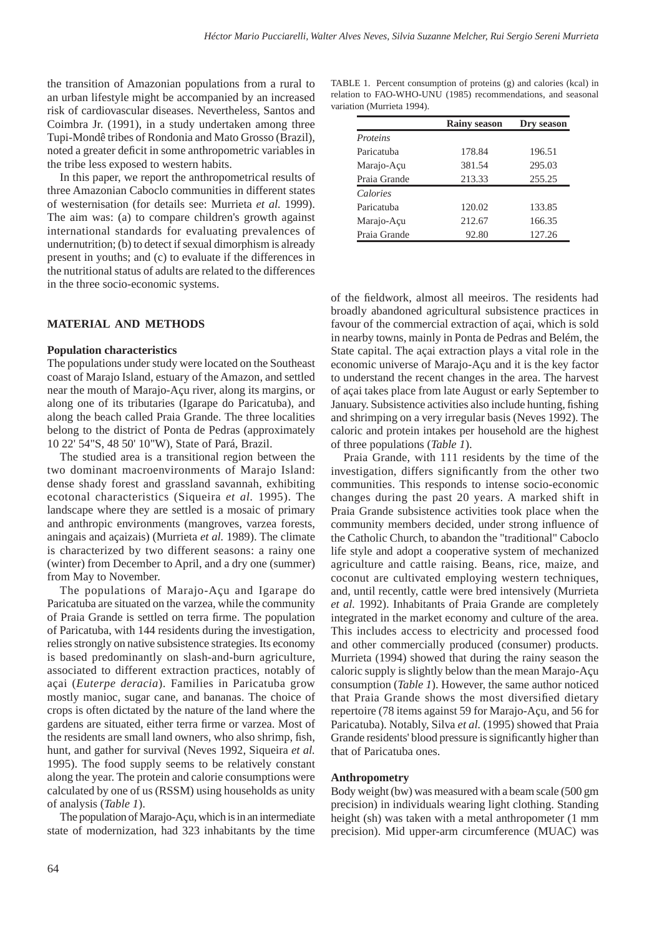the transition of Amazonian populations from a rural to an urban lifestyle might be accompanied by an increased risk of cardiovascular diseases. Nevertheless, Santos and Coimbra Jr. (1991), in a study undertaken among three Tupi-Mondê tribes of Rondonia and Mato Grosso (Brazil), noted a greater deficit in some anthropometric variables in the tribe less exposed to western habits.

In this paper, we report the anthropometrical results of three Amazonian Caboclo communities in different states of westernisation (for details see: Murrieta *et al.* 1999). The aim was: (a) to compare children's growth against international standards for evaluating prevalences of undernutrition; (b) to detect if sexual dimorphism is already present in youths; and (c) to evaluate if the differences in the nutritional status of adults are related to the differences in the three socio-economic systems.

#### **MATERIAL AND METHODS**

#### **Population characteristics**

The populations under study were located on the Southeast coast of Marajo Island, estuary of the Amazon, and settled near the mouth of Marajo-Açu river, along its margins, or along one of its tributaries (Igarape do Paricatuba), and along the beach called Praia Grande. The three localities belong to the district of Ponta de Pedras (approximately 10 22' 54"S, 48 50' 10"W), State of Pará, Brazil.

The studied area is a transitional region between the two dominant macroenvironments of Marajo Island: dense shady forest and grassland savannah, exhibiting ecotonal characteristics (Siqueira *et al.* 1995). The landscape where they are settled is a mosaic of primary and anthropic environments (mangroves, varzea forests, aningais and açaizais) (Murrieta *et al.* 1989). The climate is characterized by two different seasons: a rainy one (winter) from December to April, and a dry one (summer) from May to November.

The populations of Marajo-Açu and Igarape do Paricatuba are situated on the varzea, while the community of Praia Grande is settled on terra firme. The population of Paricatuba, with 144 residents during the investigation, relies strongly on native subsistence strategies. Its economy is based predominantly on slash-and-burn agriculture, associated to different extraction practices, notably of açai (*Euterpe deracia*). Families in Paricatuba grow mostly manioc, sugar cane, and bananas. The choice of crops is often dictated by the nature of the land where the gardens are situated, either terra firme or varzea. Most of the residents are small land owners, who also shrimp, fish, hunt, and gather for survival (Neves 1992, Siqueira *et al.* 1995). The food supply seems to be relatively constant along the year. The protein and calorie consumptions were calculated by one of us (RSSM) using households as unity of analysis (*Table 1*).

The population of Marajo-Açu, which is in an intermediate state of modernization, had 323 inhabitants by the time

TABLE 1. Percent consumption of proteins (g) and calories (kcal) in relation to FAO-WHO-UNU (1985) recommendations, and seasonal variation (Murrieta 1994).

|                 | <b>Rainy season</b> | Dry season |
|-----------------|---------------------|------------|
| <i>Proteins</i> |                     |            |
| Paricatuba      | 178.84              | 196.51     |
| Marajo-Açu      | 381.54              | 295.03     |
| Praia Grande    | 213.33              | 255.25     |
| Calories        |                     |            |
| Paricatuba      | 120.02              | 133.85     |
| Marajo-Açu      | 212.67              | 166.35     |
| Praia Grande    | 92.80               | 127.26     |

of the fieldwork, almost all meeiros. The residents had broadly abandoned agricultural subsistence practices in favour of the commercial extraction of açai, which is sold in nearby towns, mainly in Ponta de Pedras and Belém, the State capital. The açai extraction plays a vital role in the economic universe of Marajo-Açu and it is the key factor to understand the recent changes in the area. The harvest of açai takes place from late August or early September to January. Subsistence activities also include hunting, fishing and shrimping on a very irregular basis (Neves 1992). The caloric and protein intakes per household are the highest of three populations (*Table 1*).

Praia Grande, with 111 residents by the time of the investigation, differs significantly from the other two communities. This responds to intense socio-economic changes during the past 20 years. A marked shift in Praia Grande subsistence activities took place when the community members decided, under strong influence of the Catholic Church, to abandon the "traditional" Caboclo life style and adopt a cooperative system of mechanized agriculture and cattle raising. Beans, rice, maize, and coconut are cultivated employing western techniques, and, until recently, cattle were bred intensively (Murrieta *et al.* 1992). Inhabitants of Praia Grande are completely integrated in the market economy and culture of the area. This includes access to electricity and processed food and other commercially produced (consumer) products. Murrieta (1994) showed that during the rainy season the caloric supply is slightly below than the mean Marajo-Açu consumption (*Table 1*). However, the same author noticed that Praia Grande shows the most diversified dietary repertoire (78 items against 59 for Marajo-Açu, and 56 for Paricatuba). Notably, Silva *et al.* (1995) showed that Praia Grande residents' blood pressure is significantly higher than that of Paricatuba ones.

#### **Anthropometry**

Body weight (bw) was measured with a beam scale (500 gm precision) in individuals wearing light clothing. Standing height (sh) was taken with a metal anthropometer (1 mm precision). Mid upper-arm circumference (MUAC) was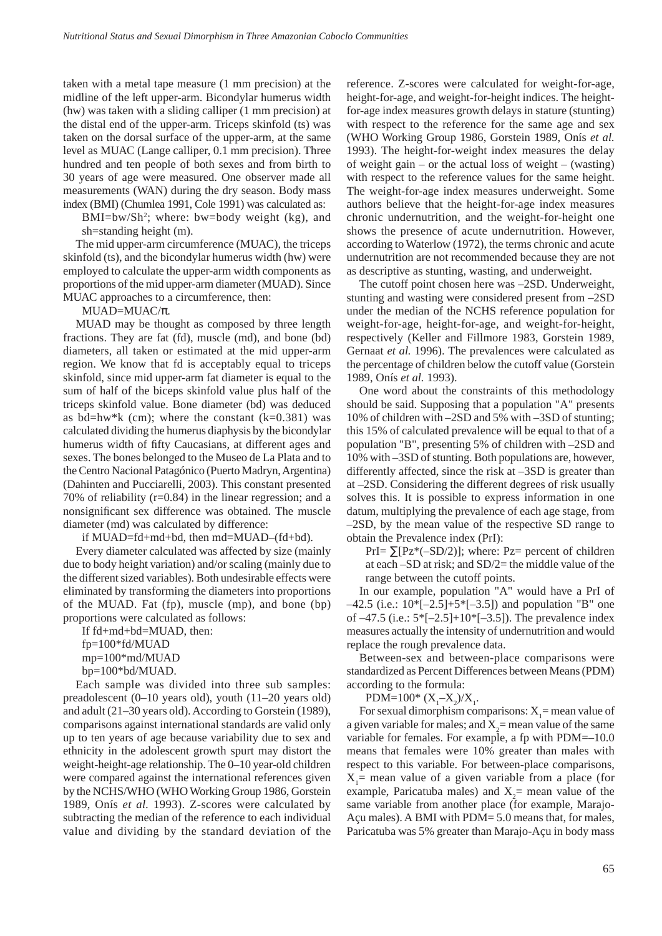taken with a metal tape measure (1 mm precision) at the midline of the left upper-arm. Bicondylar humerus width (hw) was taken with a sliding calliper (1 mm precision) at the distal end of the upper-arm. Triceps skinfold (ts) was taken on the dorsal surface of the upper-arm, at the same level as MUAC (Lange calliper, 0.1 mm precision). Three hundred and ten people of both sexes and from birth to 30 years of age were measured. One observer made all measurements (WAN) during the dry season. Body mass index (BMI) (Chumlea 1991, Cole 1991) was calculated as:

 $BMI=bw/Sh<sup>2</sup>$ ; where: bw=body weight (kg), and sh=standing height (m).

The mid upper-arm circumference (MUAC), the triceps skinfold (ts), and the bicondylar humerus width (hw) were employed to calculate the upper-arm width components as proportions of the mid upper-arm diameter (MUAD). Since MUAC approaches to a circumference, then:

MUAD=MUAC/π.

MUAD may be thought as composed by three length fractions. They are fat (fd), muscle (md), and bone (bd) diameters, all taken or estimated at the mid upper-arm region. We know that fd is acceptably equal to triceps skinfold, since mid upper-arm fat diameter is equal to the sum of half of the biceps skinfold value plus half of the triceps skinfold value. Bone diameter (bd) was deduced as bd=hw\*k (cm); where the constant  $(k=0.381)$  was calculated dividing the humerus diaphysis by the bicondylar humerus width of fifty Caucasians, at different ages and sexes. The bones belonged to the Museo de La Plata and to the Centro Nacional Patagónico (Puerto Madryn, Argentina) (Dahinten and Pucciarelli, 2003). This constant presented 70% of reliability (r=0.84) in the linear regression; and a nonsignificant sex difference was obtained. The muscle diameter (md) was calculated by difference:

if MUAD=fd+md+bd, then md=MUAD–(fd+bd).

Every diameter calculated was affected by size (mainly due to body height variation) and/or scaling (mainly due to the different sized variables). Both undesirable effects were eliminated by transforming the diameters into proportions of the MUAD. Fat (fp), muscle (mp), and bone (bp) proportions were calculated as follows:

If fd+md+bd=MUAD, then:

 fp=100\*fd/MUAD mp=100\*md/MUAD bp=100\*bd/MUAD.

Each sample was divided into three sub samples: preadolescent (0–10 years old), youth (11–20 years old) and adult (21–30 years old). According to Gorstein (1989), comparisons against international standards are valid only up to ten years of age because variability due to sex and ethnicity in the adolescent growth spurt may distort the weight-height-age relationship. The 0–10 year-old children were compared against the international references given by the NCHS/WHO (WHO Working Group 1986, Gorstein 1989, Onís *et al.* 1993). Z-scores were calculated by subtracting the median of the reference to each individual value and dividing by the standard deviation of the reference. Z-scores were calculated for weight-for-age, height-for-age, and weight-for-height indices. The heightfor-age index measures growth delays in stature (stunting) with respect to the reference for the same age and sex (WHO Working Group 1986, Gorstein 1989, Onís *et al.* 1993). The height-for-weight index measures the delay of weight gain – or the actual loss of weight – (wasting) with respect to the reference values for the same height. The weight-for-age index measures underweight. Some authors believe that the height-for-age index measures chronic undernutrition, and the weight-for-height one shows the presence of acute undernutrition. However, according to Waterlow (1972), the terms chronic and acute undernutrition are not recommended because they are not as descriptive as stunting, wasting, and underweight.

The cutoff point chosen here was –2SD. Underweight, stunting and wasting were considered present from –2SD under the median of the NCHS reference population for weight-for-age, height-for-age, and weight-for-height, respectively (Keller and Fillmore 1983, Gorstein 1989, Gernaat *et al.* 1996). The prevalences were calculated as the percentage of children below the cutoff value (Gorstein 1989, Onís *et al.* 1993).

One word about the constraints of this methodology should be said. Supposing that a population "A" presents 10% of children with –2SD and 5% with –3SD of stunting; this 15% of calculated prevalence will be equal to that of a population "B", presenting 5% of children with –2SD and 10% with –3SD of stunting. Both populations are, however, differently affected, since the risk at –3SD is greater than at –2SD. Considering the different degrees of risk usually solves this. It is possible to express information in one datum, multiplying the prevalence of each age stage, from –2SD, by the mean value of the respective SD range to obtain the Prevalence index (PrI):

PrI=  $\Sigma$ [Pz\*(-SD/2)]; where: Pz= percent of children at each –SD at risk; and SD/2= the middle value of the range between the cutoff points.

In our example, population "A" would have a PrI of  $-42.5$  (i.e.:  $10*(-2.5]+5*(-3.5)$ ) and population "B" one of –47.5 (i.e.: 5\*[–2.5]+10\*[–3.5]). The prevalence index measures actually the intensity of undernutrition and would replace the rough prevalence data.

Between-sex and between-place comparisons were standardized as Percent Differences between Means (PDM) according to the formula:

PDM=100\*  $(X_1-X_2)/X_1$ .

For sexual dimorphism comparisons:  $X_1$  = mean value of a given variable for males; and  $X_2$  = mean value of the same variable for females. For example, a fp with PDM=–10.0 means that females were 10% greater than males with respect to this variable. For between-place comparisons,  $X_1$ = mean value of a given variable from a place (for example, Paricatuba males) and  $X_2$  mean value of the same variable from another place (for example, Marajo-Açu males). A BMI with PDM= 5.0 means that, for males, Paricatuba was 5% greater than Marajo-Açu in body mass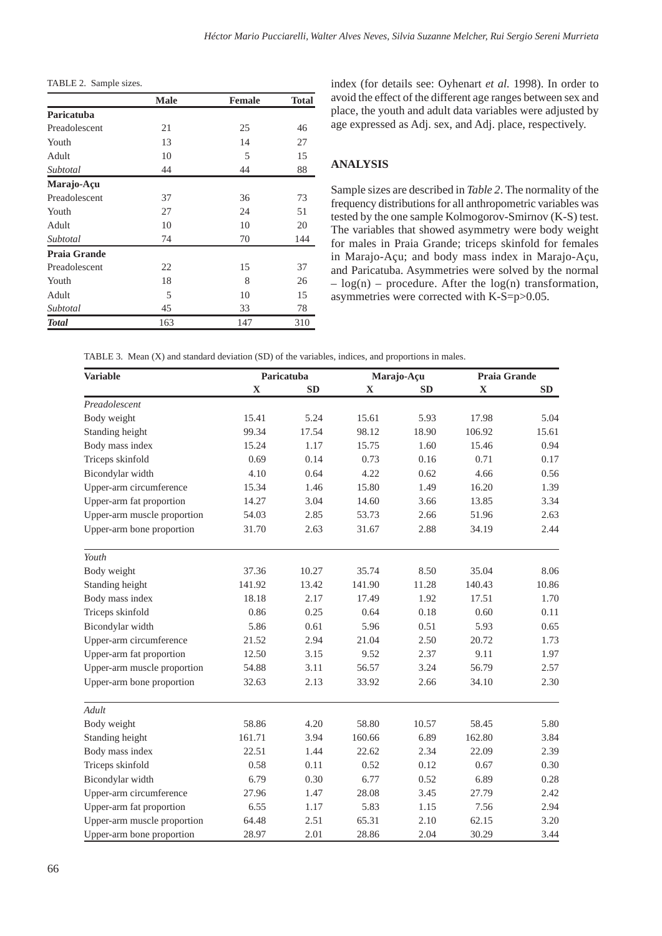TABLE 2. Sample sizes.

|                     | <b>Male</b> | <b>Female</b> | <b>Total</b> |
|---------------------|-------------|---------------|--------------|
| Paricatuba          |             |               |              |
| Preadolescent       | 21          | 25            | 46           |
| Youth               | 13          | 14            | 27           |
| Adult               | 10          | 5             | 15           |
| Subtotal            | 44          | 44            | 88           |
| Marajo-Açu          |             |               |              |
| Preadolescent       | 37          | 36            | 73           |
| Youth               | 27          | 24            | 51           |
| Adult               | 10          | 10            | 20           |
| Subtotal            | 74          | 70            | 144          |
| <b>Praia Grande</b> |             |               |              |
| Preadolescent       | 22          | 15            | 37           |
| Youth               | 18          | 8             | 26           |
| Adult               | 5           | 10            | 15           |
| Subtotal            | 45          | 33            | 78           |
| <b>Total</b>        | 163         | 147           | 310          |

index (for details see: Oyhenart *et al.* 1998). In order to avoid the effect of the different age ranges between sex and place, the youth and adult data variables were adjusted by age expressed as Adj. sex, and Adj. place, respectively.

# **ANALYSIS**

Sample sizes are described in *Table 2*. The normality of the frequency distributions for all anthropometric variables was tested by the one sample Kolmogorov-Smirnov (K-S) test. The variables that showed asymmetry were body weight for males in Praia Grande; triceps skinfold for females in Marajo-Açu; and body mass index in Marajo-Açu, and Paricatuba. Asymmetries were solved by the normal  $-\log(n)$  – procedure. After the  $\log(n)$  transformation, asymmetries were corrected with K-S=p>0.05.

| TABLE 3. Mean (X) and standard deviation (SD) of the variables, indices, and proportions in males. |  |  |
|----------------------------------------------------------------------------------------------------|--|--|
|----------------------------------------------------------------------------------------------------|--|--|

| <b>Variable</b>             |             | Paricatuba |        | Marajo-Açu | Praia Grande |       |
|-----------------------------|-------------|------------|--------|------------|--------------|-------|
|                             | $\mathbf X$ | <b>SD</b>  | X      | <b>SD</b>  | $\mathbf X$  | SD    |
| Preadolescent               |             |            |        |            |              |       |
| Body weight                 | 15.41       | 5.24       | 15.61  | 5.93       | 17.98        | 5.04  |
| Standing height             | 99.34       | 17.54      | 98.12  | 18.90      | 106.92       | 15.61 |
| Body mass index             | 15.24       | 1.17       | 15.75  | 1.60       | 15.46        | 0.94  |
| Triceps skinfold            | 0.69        | 0.14       | 0.73   | 0.16       | 0.71         | 0.17  |
| Bicondylar width            | 4.10        | 0.64       | 4.22   | 0.62       | 4.66         | 0.56  |
| Upper-arm circumference     | 15.34       | 1.46       | 15.80  | 1.49       | 16.20        | 1.39  |
| Upper-arm fat proportion    | 14.27       | 3.04       | 14.60  | 3.66       | 13.85        | 3.34  |
| Upper-arm muscle proportion | 54.03       | 2.85       | 53.73  | 2.66       | 51.96        | 2.63  |
| Upper-arm bone proportion   | 31.70       | 2.63       | 31.67  | 2.88       | 34.19        | 2.44  |
| Youth                       |             |            |        |            |              |       |
| Body weight                 | 37.36       | 10.27      | 35.74  | 8.50       | 35.04        | 8.06  |
| Standing height             | 141.92      | 13.42      | 141.90 | 11.28      | 140.43       | 10.86 |
| Body mass index             | 18.18       | 2.17       | 17.49  | 1.92       | 17.51        | 1.70  |
| Triceps skinfold            | 0.86        | 0.25       | 0.64   | 0.18       | 0.60         | 0.11  |
| Bicondylar width            | 5.86        | 0.61       | 5.96   | 0.51       | 5.93         | 0.65  |
| Upper-arm circumference     | 21.52       | 2.94       | 21.04  | 2.50       | 20.72        | 1.73  |
| Upper-arm fat proportion    | 12.50       | 3.15       | 9.52   | 2.37       | 9.11         | 1.97  |
| Upper-arm muscle proportion | 54.88       | 3.11       | 56.57  | 3.24       | 56.79        | 2.57  |
| Upper-arm bone proportion   | 32.63       | 2.13       | 33.92  | 2.66       | 34.10        | 2.30  |
| Adult                       |             |            |        |            |              |       |
| Body weight                 | 58.86       | 4.20       | 58.80  | 10.57      | 58.45        | 5.80  |
| Standing height             | 161.71      | 3.94       | 160.66 | 6.89       | 162.80       | 3.84  |
| Body mass index             | 22.51       | 1.44       | 22.62  | 2.34       | 22.09        | 2.39  |
| Triceps skinfold            | 0.58        | 0.11       | 0.52   | 0.12       | 0.67         | 0.30  |
| Bicondylar width            | 6.79        | 0.30       | 6.77   | 0.52       | 6.89         | 0.28  |
| Upper-arm circumference     | 27.96       | 1.47       | 28.08  | 3.45       | 27.79        | 2.42  |
| Upper-arm fat proportion    | 6.55        | 1.17       | 5.83   | 1.15       | 7.56         | 2.94  |
| Upper-arm muscle proportion | 64.48       | 2.51       | 65.31  | 2.10       | 62.15        | 3.20  |
| Upper-arm bone proportion   | 28.97       | 2.01       | 28.86  | 2.04       | 30.29        | 3.44  |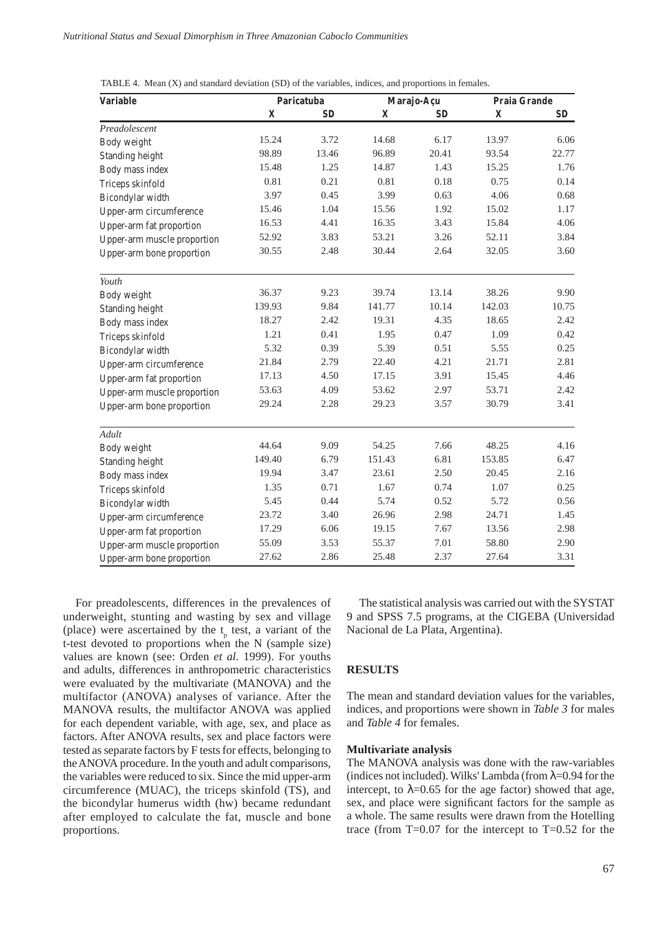| <b>Variable</b>             |             | Paricatuba |             | Marajo-Açu | Praia Grande |           |
|-----------------------------|-------------|------------|-------------|------------|--------------|-----------|
|                             | $\mathbf X$ | <b>SD</b>  | $\mathbf X$ | <b>SD</b>  | $\mathbf X$  | <b>SD</b> |
| Preadolescent               |             |            |             |            |              |           |
| Body weight                 | 15.24       | 3.72       | 14.68       | 6.17       | 13.97        | 6.06      |
| Standing height             | 98.89       | 13.46      | 96.89       | 20.41      | 93.54        | 22.77     |
| Body mass index             | 15.48       | 1.25       | 14.87       | 1.43       | 15.25        | 1.76      |
| Triceps skinfold            | 0.81        | 0.21       | 0.81        | 0.18       | 0.75         | 0.14      |
| Bicondylar width            | 3.97        | 0.45       | 3.99        | 0.63       | 4.06         | 0.68      |
| Upper-arm circumference     | 15.46       | 1.04       | 15.56       | 1.92       | 15.02        | 1.17      |
| Upper-arm fat proportion    | 16.53       | 4.41       | 16.35       | 3.43       | 15.84        | 4.06      |
| Upper-arm muscle proportion | 52.92       | 3.83       | 53.21       | 3.26       | 52.11        | 3.84      |
| Upper-arm bone proportion   | 30.55       | 2.48       | 30.44       | 2.64       | 32.05        | 3.60      |
| Youth                       |             |            |             |            |              |           |
| Body weight                 | 36.37       | 9.23       | 39.74       | 13.14      | 38.26        | 9.90      |
| Standing height             | 139.93      | 9.84       | 141.77      | 10.14      | 142.03       | 10.75     |
| Body mass index             | 18.27       | 2.42       | 19.31       | 4.35       | 18.65        | 2.42      |
| Triceps skinfold            | 1.21        | 0.41       | 1.95        | 0.47       | 1.09         | 0.42      |
| Bicondylar width            | 5.32        | 0.39       | 5.39        | 0.51       | 5.55         | 0.25      |
| Upper-arm circumference     | 21.84       | 2.79       | 22.40       | 4.21       | 21.71        | 2.81      |
| Upper-arm fat proportion    | 17.13       | 4.50       | 17.15       | 3.91       | 15.45        | 4.46      |
| Upper-arm muscle proportion | 53.63       | 4.09       | 53.62       | 2.97       | 53.71        | 2.42      |
| Upper-arm bone proportion   | 29.24       | 2.28       | 29.23       | 3.57       | 30.79        | 3.41      |
| Adult                       |             |            |             |            |              |           |
| Body weight                 | 44.64       | 9.09       | 54.25       | 7.66       | 48.25        | 4.16      |
| Standing height             | 149.40      | 6.79       | 151.43      | 6.81       | 153.85       | 6.47      |
| Body mass index             | 19.94       | 3.47       | 23.61       | 2.50       | 20.45        | 2.16      |
| Triceps skinfold            | 1.35        | 0.71       | 1.67        | 0.74       | 1.07         | 0.25      |
| Bicondylar width            | 5.45        | 0.44       | 5.74        | 0.52       | 5.72         | 0.56      |
| Upper-arm circumference     | 23.72       | 3.40       | 26.96       | 2.98       | 24.71        | 1.45      |
| Upper-arm fat proportion    | 17.29       | 6.06       | 19.15       | 7.67       | 13.56        | 2.98      |
| Upper-arm muscle proportion | 55.09       | 3.53       | 55.37       | 7.01       | 58.80        | 2.90      |
| Upper-arm bone proportion   | 27.62       | 2.86       | 25.48       | 2.37       | 27.64        | 3.31      |

TABLE 4. Mean (X) and standard deviation (SD) of the variables, indices, and proportions in females.

For preadolescents, differences in the prevalences of underweight, stunting and wasting by sex and village (place) were ascertained by the  $t_p$  test, a variant of the t-test devoted to proportions when the N (sample size) values are known (see: Orden *et al.* 1999). For youths and adults, differences in anthropometric characteristics were evaluated by the multivariate (MANOVA) and the multifactor (ANOVA) analyses of variance. After the MANOVA results, the multifactor ANOVA was applied for each dependent variable, with age, sex, and place as factors. After ANOVA results, sex and place factors were tested as separate factors by F tests for effects, belonging to the ANOVA procedure. In the youth and adult comparisons, the variables were reduced to six. Since the mid upper-arm circumference (MUAC), the triceps skinfold (TS), and the bicondylar humerus width (hw) became redundant after employed to calculate the fat, muscle and bone proportions.

The statistical analysis was carried out with the SYSTAT 9 and SPSS 7.5 programs, at the CIGEBA (Universidad Nacional de La Plata, Argentina).

# **RESULTS**

The mean and standard deviation values for the variables, indices, and proportions were shown in *Table 3* for males and *Table 4* for females.

#### **Multivariate analysis**

The MANOVA analysis was done with the raw-variables (indices not included). Wilks' Lambda (from  $\lambda$ =0.94 for the intercept, to  $\lambda$ =0.65 for the age factor) showed that age, sex, and place were significant factors for the sample as a whole. The same results were drawn from the Hotelling trace (from  $T=0.07$  for the intercept to  $T=0.52$  for the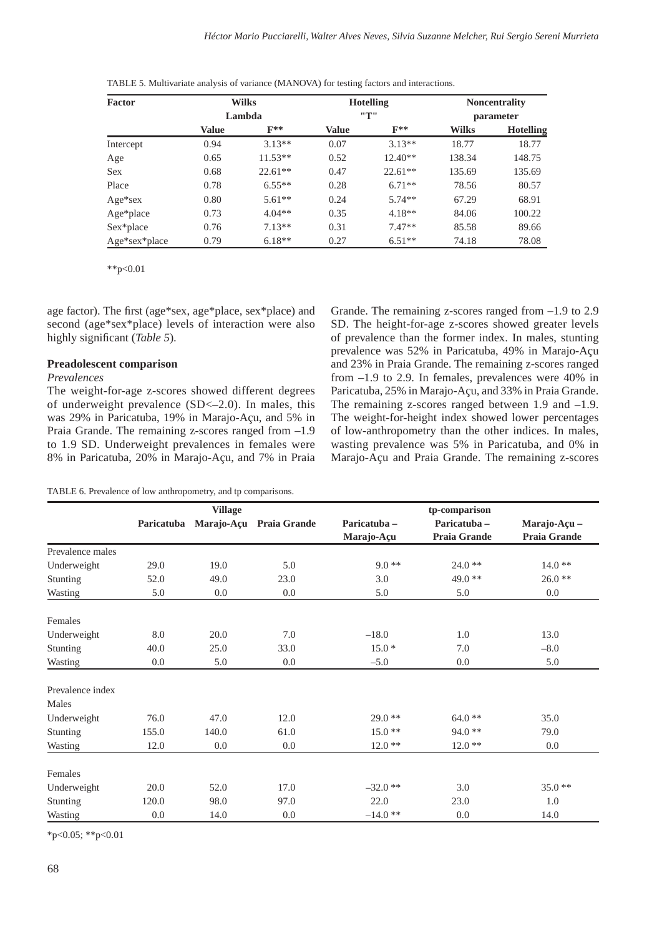| TABLE 5. Multivariate analysis of variance (MANOVA) for testing factors and interactions. |  |  |
|-------------------------------------------------------------------------------------------|--|--|
|                                                                                           |  |  |

| <b>Factor</b> | <b>Wilks</b> |                   |              | <b>Hotelling</b> | <b>Noncentrality</b> |                  |  |
|---------------|--------------|-------------------|--------------|------------------|----------------------|------------------|--|
|               |              | Lambda            |              | "T"              |                      | parameter        |  |
|               | <b>Value</b> | $\mathbf{F}^{**}$ | <b>Value</b> | $F**$            | <b>Wilks</b>         | <b>Hotelling</b> |  |
| Intercept     | 0.94         | $3.13**$          | 0.07         | $3.13**$         | 18.77                | 18.77            |  |
| Age           | 0.65         | $11.53**$         | 0.52         | $12.40**$        | 138.34               | 148.75           |  |
| <b>Sex</b>    | 0.68         | $22.61**$         | 0.47         | $22.61**$        | 135.69               | 135.69           |  |
| Place         | 0.78         | $6.55**$          | 0.28         | $6.71**$         | 78.56                | 80.57            |  |
| $Age*sex$     | 0.80         | $5.61**$          | 0.24         | $5.74**$         | 67.29                | 68.91            |  |
| Age*place     | 0.73         | $4.04**$          | 0.35         | $4.18**$         | 84.06                | 100.22           |  |
| Sex*place     | 0.76         | $7.13**$          | 0.31         | $7.47**$         | 85.58                | 89.66            |  |
| Age*sex*place | 0.79         | $6.18**$          | 0.27         | $6.51**$         | 74.18                | 78.08            |  |

\*\*p<0.01

age factor). The first (age\*sex, age\*place, sex\*place) and second (age\*sex\*place) levels of interaction were also highly significant (*Table 5*).

#### **Preadolescent comparison**

## *Prevalences*

The weight-for-age z-scores showed different degrees of underweight prevalence (SD<–2.0). In males, this was 29% in Paricatuba, 19% in Marajo-Açu, and 5% in Praia Grande. The remaining z-scores ranged from –1.9 to 1.9 SD. Underweight prevalences in females were 8% in Paricatuba, 20% in Marajo-Açu, and 7% in Praia Grande. The remaining z-scores ranged from –1.9 to 2.9 SD. The height-for-age z-scores showed greater levels of prevalence than the former index. In males, stunting prevalence was 52% in Paricatuba, 49% in Marajo-Açu and 23% in Praia Grande. The remaining z-scores ranged from –1.9 to 2.9. In females, prevalences were 40% in Paricatuba, 25% in Marajo-Açu, and 33% in Praia Grande. The remaining z-scores ranged between 1.9 and  $-1.9$ . The weight-for-height index showed lower percentages of low-anthropometry than the other indices. In males, wasting prevalence was 5% in Paricatuba, and 0% in Marajo-Açu and Praia Grande. The remaining z-scores

| TABLE 6. Prevalence of low anthropometry, and tp comparisons. |  |  |  |
|---------------------------------------------------------------|--|--|--|
|---------------------------------------------------------------|--|--|--|

|                  |            | <b>Village</b> |              | tp-comparison |                     |                     |  |
|------------------|------------|----------------|--------------|---------------|---------------------|---------------------|--|
|                  | Paricatuba | Marajo-Açu     | Praia Grande | Paricatuba-   | Paricatuba-         | Marajo-Açu -        |  |
|                  |            |                |              | Marajo-Açu    | <b>Praia Grande</b> | <b>Praia Grande</b> |  |
| Prevalence males |            |                |              |               |                     |                     |  |
| Underweight      | 29.0       | 19.0           | 5.0          | $9.0**$       | $24.0**$            | $14.0**$            |  |
| Stunting         | 52.0       | 49.0           | 23.0         | 3.0           | 49.0 **             | $26.0**$            |  |
| Wasting          | 5.0        | 0.0            | 0.0          | 5.0           | 5.0                 | $0.0\,$             |  |
| Females          |            |                |              |               |                     |                     |  |
| Underweight      | 8.0        | 20.0           | 7.0          | $-18.0$       | 1.0                 | 13.0                |  |
| Stunting         | 40.0       | 25.0           | 33.0         | $15.0*$       | 7.0                 | $-8.0$              |  |
| Wasting          | 0.0        | 5.0            | 0.0          | $-5.0$        | 0.0                 | 5.0                 |  |
| Prevalence index |            |                |              |               |                     |                     |  |
| Males            |            |                |              |               |                     |                     |  |
| Underweight      | 76.0       | 47.0           | 12.0         | $29.0**$      | $64.0**$            | 35.0                |  |
| Stunting         | 155.0      | 140.0          | 61.0         | $15.0**$      | 94.0 **             | 79.0                |  |
| Wasting          | 12.0       | 0.0            | 0.0          | $12.0**$      | $12.0**$            | 0.0                 |  |
| Females          |            |                |              |               |                     |                     |  |
| Underweight      | 20.0       | 52.0           | 17.0         | $-32.0**$     | 3.0                 | $35.0**$            |  |
| Stunting         | 120.0      | 98.0           | 97.0         | 22.0          | 23.0                | 1.0                 |  |
| Wasting          | 0.0        | 14.0           | 0.0          | $-14.0**$     | 0.0                 | 14.0                |  |

\*p<0.05; \*\*p<0.01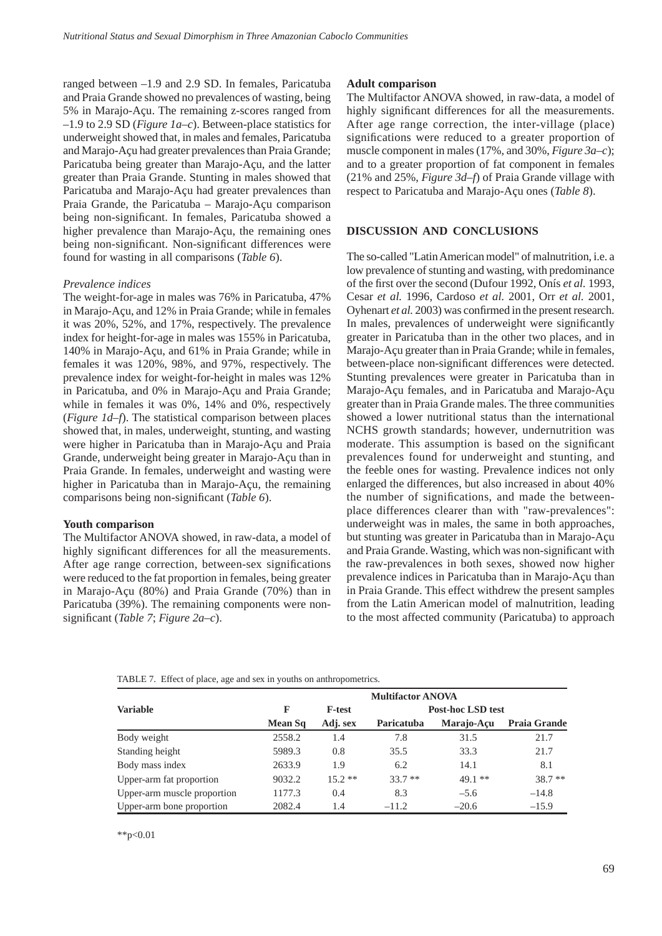ranged between –1.9 and 2.9 SD. In females, Paricatuba and Praia Grande showed no prevalences of wasting, being 5% in Marajo-Açu. The remaining z-scores ranged from –1.9 to 2.9 SD (*Figure 1a–c*). Between-place statistics for underweight showed that, in males and females, Paricatuba and Marajo-Açu had greater prevalences than Praia Grande; Paricatuba being greater than Marajo-Açu, and the latter greater than Praia Grande. Stunting in males showed that Paricatuba and Marajo-Açu had greater prevalences than Praia Grande, the Paricatuba – Marajo-Açu comparison being non-significant. In females, Paricatuba showed a higher prevalence than Marajo-Açu, the remaining ones being non-significant. Non-significant differences were found for wasting in all comparisons (*Table 6*).

#### *Prevalence indices*

The weight-for-age in males was 76% in Paricatuba, 47% in Marajo-Açu, and 12% in Praia Grande; while in females it was 20%, 52%, and 17%, respectively. The prevalence index for height-for-age in males was 155% in Paricatuba, 140% in Marajo-Açu, and 61% in Praia Grande; while in females it was 120%, 98%, and 97%, respectively. The prevalence index for weight-for-height in males was 12% in Paricatuba, and 0% in Marajo-Açu and Praia Grande; while in females it was 0%, 14% and 0%, respectively (*Figure 1d–f*). The statistical comparison between places showed that, in males, underweight, stunting, and wasting were higher in Paricatuba than in Marajo-Açu and Praia Grande, underweight being greater in Marajo-Açu than in Praia Grande. In females, underweight and wasting were higher in Paricatuba than in Marajo-Açu, the remaining comparisons being non-significant (*Table 6*).

#### **Youth comparison**

The Multifactor ANOVA showed, in raw-data, a model of highly significant differences for all the measurements. After age range correction, between-sex significations were reduced to the fat proportion in females, being greater in Marajo-Açu (80%) and Praia Grande (70%) than in Paricatuba (39%). The remaining components were nonsignificant (*Table 7*; *Figure 2a–c*).

#### **Adult comparison**

The Multifactor ANOVA showed, in raw-data, a model of highly significant differences for all the measurements. After age range correction, the inter-village (place) significations were reduced to a greater proportion of muscle component in males (17%, and 30%, *Figure 3a–c*); and to a greater proportion of fat component in females (21% and 25%, *Figure 3d–f*) of Praia Grande village with respect to Paricatuba and Marajo-Açu ones (*Table 8*).

## **DISCUSSION AND CONCLUSIONS**

The so-called "Latin American model" of malnutrition, i.e. a low prevalence of stunting and wasting, with predominance of the first over the second (Dufour 1992, Onís *et al.* 1993, Cesar *et al.* 1996, Cardoso *et al.* 2001, Orr *et al.* 2001, Oyhenart *et al.* 2003) was confirmed in the present research. In males, prevalences of underweight were significantly greater in Paricatuba than in the other two places, and in Marajo-Açu greater than in Praia Grande; while in females, between-place non-significant differences were detected. Stunting prevalences were greater in Paricatuba than in Marajo-Açu females, and in Paricatuba and Marajo-Açu greater than in Praia Grande males. The three communities showed a lower nutritional status than the international NCHS growth standards; however, undernutrition was moderate. This assumption is based on the significant prevalences found for underweight and stunting, and the feeble ones for wasting. Prevalence indices not only enlarged the differences, but also increased in about 40% the number of significations, and made the betweenplace differences clearer than with "raw-prevalences": underweight was in males, the same in both approaches, but stunting was greater in Paricatuba than in Marajo-Açu and Praia Grande. Wasting, which was non-significant with the raw-prevalences in both sexes, showed now higher prevalence indices in Paricatuba than in Marajo-Açu than in Praia Grande. This effect withdrew the present samples from the Latin American model of malnutrition, leading to the most affected community (Paricatuba) to approach

| TABLE 7. Effect of place, age and sex in youths on anthropometrics. |  |
|---------------------------------------------------------------------|--|
|                                                                     |  |

|                             | <b>Multifactor ANOVA</b> |               |                          |            |                     |  |  |
|-----------------------------|--------------------------|---------------|--------------------------|------------|---------------------|--|--|
| <b>Variable</b>             | F                        | <b>F-test</b> | <b>Post-hoc LSD test</b> |            |                     |  |  |
|                             | Mean Sq                  | Adj. sex      | Paricatuba               | Marajo-Acu | <b>Praia Grande</b> |  |  |
| Body weight                 | 2558.2                   | 1.4           | 7.8                      | 31.5       | 21.7                |  |  |
| Standing height             | 5989.3                   | 0.8           | 35.5                     | 33.3       | 21.7                |  |  |
| Body mass index             | 2633.9                   | 1.9           | 6.2                      | 14.1       | 8.1                 |  |  |
| Upper-arm fat proportion    | 9032.2                   | $15.2**$      | $33.7**$                 | $49.1**$   | $38.7**$            |  |  |
| Upper-arm muscle proportion | 1177.3                   | 0.4           | 8.3                      | $-5.6$     | $-14.8$             |  |  |
| Upper-arm bone proportion   | 2082.4                   | 1.4           | $-11.2$                  | $-20.6$    | $-15.9$             |  |  |

\*\*p< $0.01$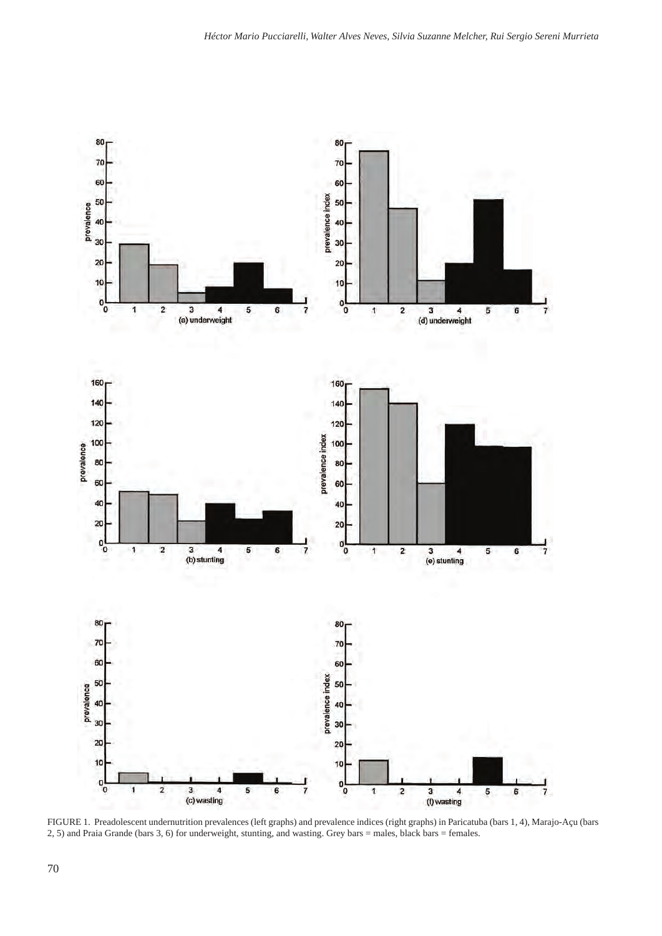

FIGURE 1. Preadolescent undernutrition prevalences (left graphs) and prevalence indices (right graphs) in Paricatuba (bars 1, 4), Marajo-Açu (bars 2, 5) and Praia Grande (bars 3, 6) for underweight, stunting, and wasting. Grey bars = males, black bars = females.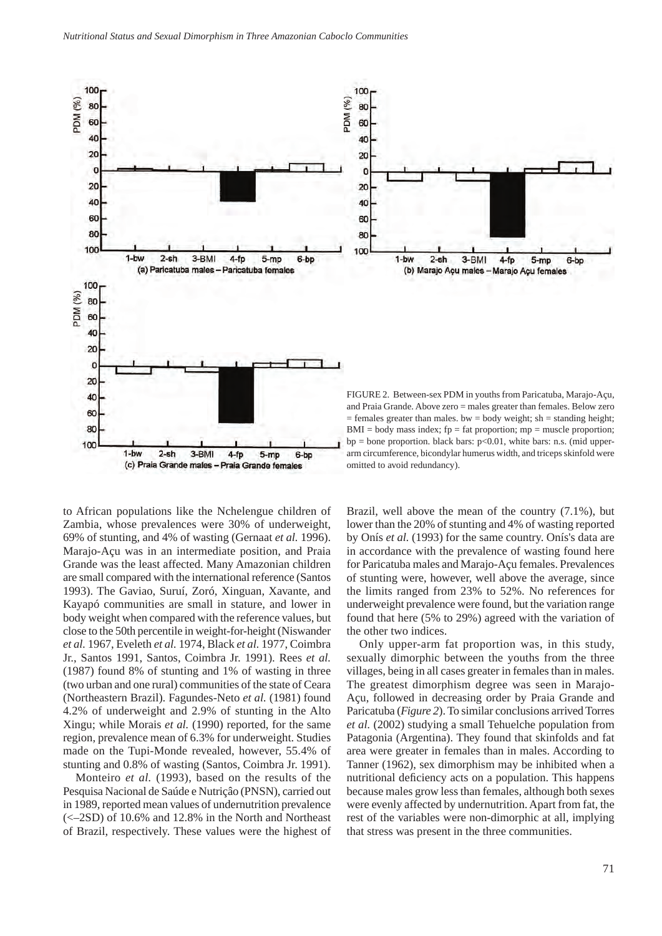

to African populations like the Nchelengue children of Zambia, whose prevalences were 30% of underweight, 69% of stunting, and 4% of wasting (Gernaat *et al.* 1996). Marajo-Açu was in an intermediate position, and Praia Grande was the least affected. Many Amazonian children are small compared with the international reference (Santos 1993). The Gaviao, Suruí, Zoró, Xinguan, Xavante, and Kayapó communities are small in stature, and lower in body weight when compared with the reference values, but close to the 50th percentile in weight-for-height (Niswander *et al.* 1967, Eveleth *et al.* 1974, Black *et al.* 1977, Coimbra Jr., Santos 1991, Santos, Coimbra Jr. 1991). Rees *et al.* (1987) found 8% of stunting and 1% of wasting in three (two urban and one rural) communities of the state of Ceara (Northeastern Brazil). Fagundes-Neto *et al.* (1981) found 4.2% of underweight and 2.9% of stunting in the Alto Xingu; while Morais *et al.* (1990) reported, for the same region, prevalence mean of 6.3% for underweight. Studies made on the Tupi-Monde revealed, however, 55.4% of stunting and 0.8% of wasting (Santos, Coimbra Jr. 1991).

Monteiro *et al.* (1993), based on the results of the Pesquisa Nacional de Saúde e Nutriçâo (PNSN), carried out in 1989, reported mean values of undernutrition prevalence (<–2SD) of 10.6% and 12.8% in the North and Northeast of Brazil, respectively. These values were the highest of Brazil, well above the mean of the country (7.1%), but lower than the 20% of stunting and 4% of wasting reported by Onís *et al.* (1993) for the same country. Onís's data are in accordance with the prevalence of wasting found here for Paricatuba males and Marajo-Açu females. Prevalences of stunting were, however, well above the average, since the limits ranged from 23% to 52%. No references for underweight prevalence were found, but the variation range found that here (5% to 29%) agreed with the variation of the other two indices.

Only upper-arm fat proportion was, in this study, sexually dimorphic between the youths from the three villages, being in all cases greater in females than in males. The greatest dimorphism degree was seen in Marajo-Açu, followed in decreasing order by Praia Grande and Paricatuba (*Figure 2*). To similar conclusions arrived Torres *et al.* (2002) studying a small Tehuelche population from Patagonia (Argentina). They found that skinfolds and fat area were greater in females than in males. According to Tanner (1962), sex dimorphism may be inhibited when a nutritional deficiency acts on a population. This happens because males grow less than females, although both sexes were evenly affected by undernutrition. Apart from fat, the rest of the variables were non-dimorphic at all, implying that stress was present in the three communities.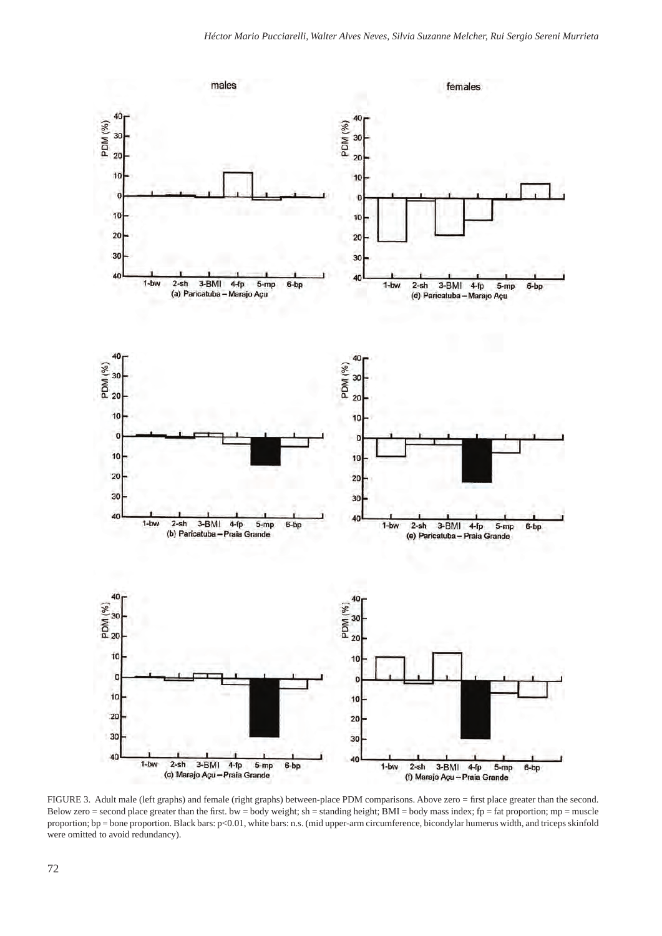

FIGURE 3. Adult male (left graphs) and female (right graphs) between-place PDM comparisons. Above zero = first place greater than the second. Below zero = second place greater than the first. bw = body weight; sh = standing height; BMI = body mass index; fp = fat proportion; mp = muscle proportion; bp = bone proportion. Black bars:  $p<0.01$ , white bars: n.s. (mid upper-arm circumference, bicondylar humerus width, and triceps skinfold were omitted to avoid redundancy).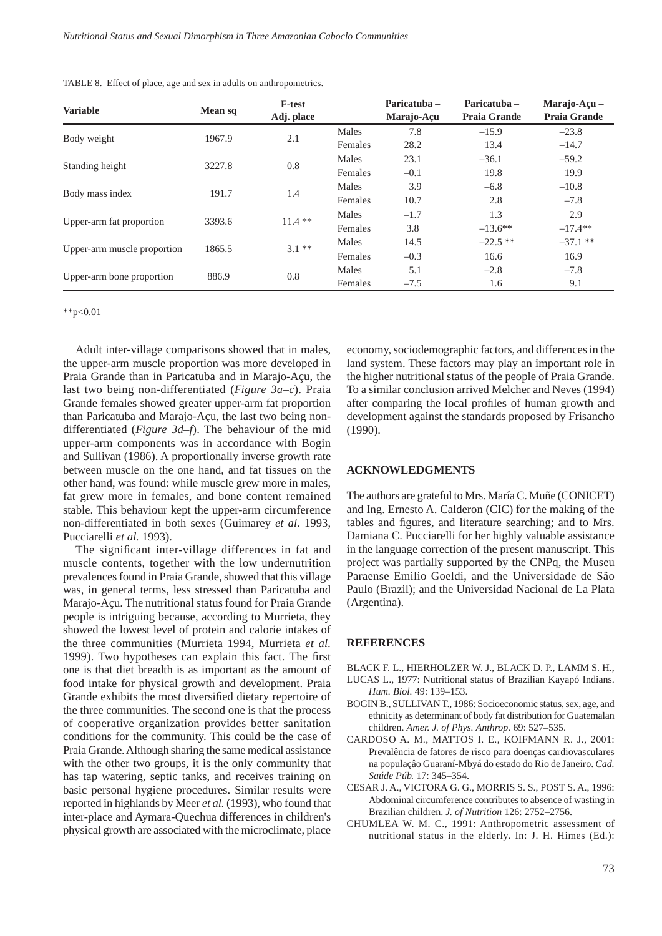| <b>Variable</b>             | Mean sq | <b>F-test</b><br>Adj. place |         | Paricatuba -<br>Marajo-Açu | Paricatuba –<br><b>Praia Grande</b> | Marajo-Acu $-$<br><b>Praia Grande</b> |
|-----------------------------|---------|-----------------------------|---------|----------------------------|-------------------------------------|---------------------------------------|
|                             | 1967.9  |                             | Males   | 7.8                        | $-15.9$                             | $-23.8$                               |
| Body weight                 |         | 2.1                         | Females | 28.2                       | 13.4                                | $-14.7$                               |
| Standing height             | 3227.8  | 0.8                         | Males   | 23.1                       | $-36.1$                             | $-59.2$                               |
|                             |         |                             | Females | $-0.1$                     | 19.8                                | 19.9                                  |
|                             | 191.7   | 1.4                         | Males   | 3.9                        | $-6.8$                              | $-10.8$                               |
| Body mass index             |         |                             | Females | 10.7                       | 2.8                                 | $-7.8$                                |
|                             | 3393.6  | $11.4$ **                   | Males   | $-1.7$                     | 1.3                                 | 2.9                                   |
| Upper-arm fat proportion    |         |                             | Females | 3.8                        | $-13.6**$                           | $-17.4**$                             |
| Upper-arm muscle proportion | 1865.5  | $3.1***$                    | Males   | 14.5                       | $-22.5$ **                          | $-37.1$ **                            |
|                             |         |                             | Females | $-0.3$                     | 16.6                                | 16.9                                  |
| Upper-arm bone proportion   |         |                             | Males   | 5.1                        | $-2.8$                              | $-7.8$                                |
|                             | 886.9   | 0.8                         | Females | $-7.5$                     | 1.6                                 | 9.1                                   |

TABLE 8. Effect of place, age and sex in adults on anthropometrics.

\*\*p< $0.01$ 

Adult inter-village comparisons showed that in males, the upper-arm muscle proportion was more developed in Praia Grande than in Paricatuba and in Marajo-Açu, the last two being non-differentiated (*Figure 3a–c*). Praia Grande females showed greater upper-arm fat proportion than Paricatuba and Marajo-Açu, the last two being nondifferentiated (*Figure 3d–f*). The behaviour of the mid upper-arm components was in accordance with Bogin and Sullivan (1986). A proportionally inverse growth rate between muscle on the one hand, and fat tissues on the other hand, was found: while muscle grew more in males, fat grew more in females, and bone content remained stable. This behaviour kept the upper-arm circumference non-differentiated in both sexes (Guimarey *et al.* 1993, Pucciarelli *et al.* 1993).

The significant inter-village differences in fat and muscle contents, together with the low undernutrition prevalences found in Praia Grande, showed that this village was, in general terms, less stressed than Paricatuba and Marajo-Açu. The nutritional status found for Praia Grande people is intriguing because, according to Murrieta, they showed the lowest level of protein and calorie intakes of the three communities (Murrieta 1994, Murrieta *et al.* 1999). Two hypotheses can explain this fact. The first one is that diet breadth is as important as the amount of food intake for physical growth and development. Praia Grande exhibits the most diversified dietary repertoire of the three communities. The second one is that the process of cooperative organization provides better sanitation conditions for the community. This could be the case of Praia Grande. Although sharing the same medical assistance with the other two groups, it is the only community that has tap watering, septic tanks, and receives training on basic personal hygiene procedures. Similar results were reported in highlands by Meer *et al.* (1993), who found that inter-place and Aymara-Quechua differences in children's physical growth are associated with the microclimate, place

economy, sociodemographic factors, and differences in the land system. These factors may play an important role in the higher nutritional status of the people of Praia Grande. To a similar conclusion arrived Melcher and Neves (1994) after comparing the local profiles of human growth and development against the standards proposed by Frisancho (1990).

#### **ACKNOWLEDGMENTS**

The authors are grateful to Mrs. María C. Muñe (CONICET) and Ing. Ernesto A. Calderon (CIC) for the making of the tables and figures, and literature searching; and to Mrs. Damiana C. Pucciarelli for her highly valuable assistance in the language correction of the present manuscript. This project was partially supported by the CNPq, the Museu Paraense Emilio Goeldi, and the Universidade de Sâo Paulo (Brazil); and the Universidad Nacional de La Plata (Argentina).

## **REFERENCES**

- BLACK F. L., HIERHOLZER W. J., BLACK D. P., LAMM S. H., LUCAS L., 1977: Nutritional status of Brazilian Kayapó Indians.
- *Hum. Biol.* 49: 139–153.
- BOGIN B., SULLIVAN T., 1986: Socioeconomic status, sex, age, and ethnicity as determinant of body fat distribution for Guatemalan children. *Amer. J. of Phys. Anthrop.* 69: 527–535.
- CARDOSO A. M., MATTOS I. E., KOIFMANN R. J., 2001: Prevalência de fatores de risco para doenças cardiovasculares na populaçâo Guaraní-Mbyá do estado do Rio de Janeiro. *Cad. Saúde Púb.* 17: 345–354.
- CESAR J. A., VICTORA G. G., MORRIS S. S., POST S. A., 1996: Abdominal circumference contributes to absence of wasting in Brazilian children. *J. of Nutrition* 126: 2752–2756.
- CHUMLEA W. M. C., 1991: Anthropometric assessment of nutritional status in the elderly. In: J. H. Himes (Ed.):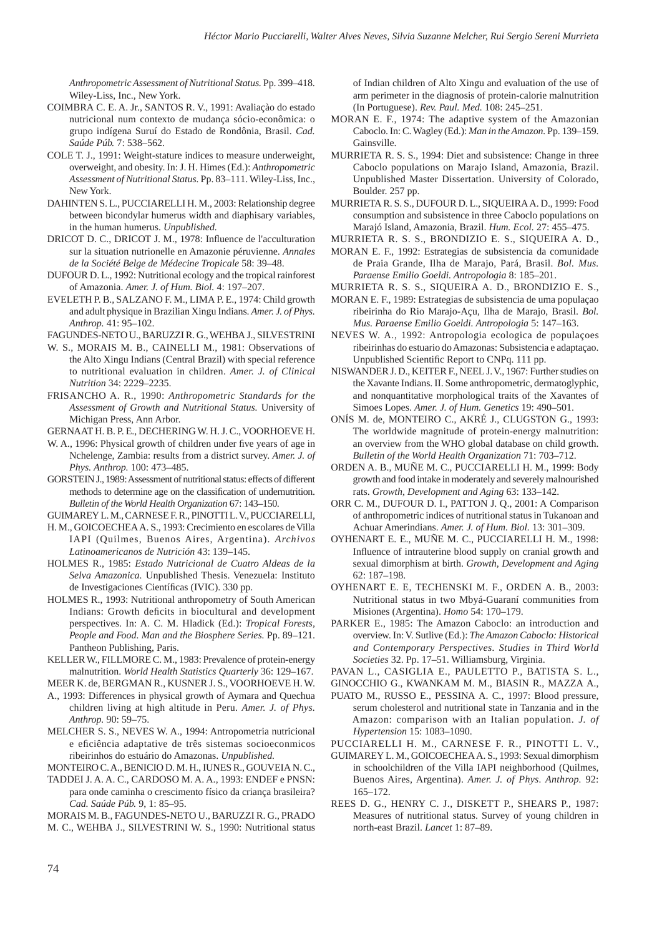*Anthropometric Assessment of Nutritional Status.* Pp. 399–418. Wiley-Liss, Inc., New York.

- COIMBRA C. E. A. Jr., SANTOS R. V., 1991: Avaliaçào do estado nutricional num contexto de mudança sócio-econômica: o grupo indígena Suruí do Estado de Rondônia, Brasil. *Cad. Saúde Púb.* 7: 538–562.
- COLE T. J., 1991: Weight-stature indices to measure underweight, overweight, and obesity. In: J. H. Himes (Ed.): *Anthropometric Assessment of Nutritional Status.* Pp. 83–111. Wiley-Liss, Inc., New York.
- DAHINTEN S. L., PUCCIARELLI H. M., 2003: Relationship degree between bicondylar humerus width and diaphisary variables, in the human humerus. *Unpublished.*
- DRICOT D. C., DRICOT J. M., 1978: Influence de l'acculturation sur la situation nutrionelle en Amazonie péruvienne. *Annales de la Société Belge de Médecine Tropicale* 58: 39–48.
- DUFOUR D. L., 1992: Nutritional ecology and the tropical rainforest of Amazonia. *Amer. J. of Hum. Biol.* 4: 197–207.
- EVELETH P. B., SALZANO F. M., LIMA P. E., 1974: Child growth and adult physique in Brazilian Xingu Indians. *Amer. J. of Phys. Anthrop.* 41: 95–102.

FAGUNDES-NETO U., BARUZZI R. G., WEHBA J., SILVESTRINI

- W. S., MORAIS M. B., CAINELLI M., 1981: Observations of the Alto Xingu Indians (Central Brazil) with special reference to nutritional evaluation in children. *Amer. J. of Clinical Nutrition* 34: 2229–2235.
- FRISANCHO A. R., 1990: *Anthropometric Standards for the Assessment of Growth and Nutritional Status.* University of Michigan Press, Ann Arbor.
- GERNAAT H. B. P. E., DECHERING W. H. J. C., VOORHOEVE H.
- W. A., 1996: Physical growth of children under five years of age in Nchelenge, Zambia: results from a district survey. *Amer. J. of Phys. Anthrop.* 100: 473–485.
- GORSTEIN J., 1989: Assessment of nutritional status: effects of different methods to determine age on the classification of undernutrition. *Bulletin of the World Health Organization* 67: 143–150.
- GUIMAREY L. M., CARNESE F. R., PINOTTI L. V., PUCCIARELLI,
- H. M., GOICOECHEA A. S., 1993: Crecimiento en escolares de Villa IAPI (Quilmes, Buenos Aires, Argentina). *Archivos Latinoamericanos de Nutrición* 43: 139–145.
- HOLMES R., 1985: *Estado Nutricional de Cuatro Aldeas de la Selva Amazonica.* Unpublished Thesis. Venezuela: Instituto de Investigaciones Científicas (IVIC). 330 pp.
- HOLMES R., 1993: Nutritional anthropometry of South American Indians: Growth deficits in biocultural and development perspectives. In: A. C. M. Hladick (Ed.): *Tropical Forests, People and Food. Man and the Biosphere Series.* Pp. 89–121. Pantheon Publishing, Paris.
- KELLER W., FILLMORE C. M., 1983: Prevalence of protein-energy malnutrition. *World Health Statistics Quarterly* 36: 129–167.
- MEER K. de, BERGMAN R., KUSNER J. S., VOORHOEVE H. W.
- A., 1993: Differences in physical growth of Aymara and Quechua children living at high altitude in Peru. *Amer. J. of Phys. Anthrop.* 90: 59–75.
- MELCHER S. S., NEVES W. A., 1994: Antropometria nutricional e eficiência adaptative de três sistemas socioeconmicos ribeirinhos do estuário do Amazonas. *Unpublished.*

MONTEIRO C. A., BENICIO D. M. H., IUNES R., GOUVEIA N. C.,

TADDEI J. A. A. C., CARDOSO M. A. A., 1993: ENDEF e PNSN: para onde caminha o crescimento físico da criança brasileira? *Cad. Saúde Púb.* 9, 1: 85–95.

MORAIS M. B., FAGUNDES-NETO U., BARUZZI R. G., PRADO M. C., WEHBA J., SILVESTRINI W. S., 1990: Nutritional status  of Indian children of Alto Xingu and evaluation of the use of arm perimeter in the diagnosis of protein-calorie malnutrition (In Portuguese). *Rev. Paul. Med.* 108: 245–251.

- MORAN E. F., 1974: The adaptive system of the Amazonian Caboclo. In: C. Wagley (Ed.): *Man in the Amazon.* Pp. 139–159. Gainsville.
- MURRIETA R. S. S., 1994: Diet and subsistence: Change in three Caboclo populations on Marajo Island, Amazonia, Brazil. Unpublished Master Dissertation. University of Colorado, Boulder. 257 pp.
- MURRIETA R. S. S., DUFOUR D. L., SIQUEIRA A. D., 1999: Food consumption and subsistence in three Caboclo populations on Marajó Island, Amazonia, Brazil. *Hum. Ecol.* 27: 455–475.
- MURRIETA R. S. S., BRONDIZIO E. S., SIQUEIRA A. D.,
- MORAN E. F., 1992: Estrategias de subsistencia da comunidade de Praia Grande, Ilha de Marajo, Pará, Brasil. *Bol. Mus. Paraense Emilio Goeldi. Antropologia* 8: 185–201.
- MURRIETA R. S. S., SIQUEIRA A. D., BRONDIZIO E. S.,
- MORAN E. F., 1989: Estrategias de subsistencia de uma populaçao ribeirinha do Rio Marajo-Açu, Ilha de Marajo, Brasil. *Bol. Mus. Paraense Emilio Goeldi. Antropologia* 5: 147–163.
- NEVES W. A., 1992: Antropologia ecologica de populaçoes ribeirinhas do estuario do Amazonas: Subsistencia e adaptaçao. Unpublished Scientific Report to CNPq. 111 pp.
- NISWANDER J. D., KEITER F., NEEL J. V., 1967: Further studies on the Xavante Indians. II. Some anthropometric, dermatoglyphic, and nonquantitative morphological traits of the Xavantes of Simoes Lopes. *Amer. J. of Hum. Genetics* 19: 490–501.
- ONÍS M. de, MONTEIRO C., AKRÉ J., CLUGSTON G., 1993: The worldwide magnitude of protein-energy malnutrition: an overview from the WHO global database on child growth. *Bulletin of the World Health Organization* 71: 703–712.
- ORDEN A. B., MUÑE M. C., PUCCIARELLI H. M., 1999: Body growth and food intake in moderately and severely malnourished rats. *Growth, Development and Aging* 63: 133–142.
- ORR C. M., DUFOUR D. I., PATTON J. Q., 2001: A Comparison of anthropometric indices of nutritional status in Tukanoan and Achuar Amerindians. *Amer. J. of Hum. Biol.* 13: 301–309.
- OYHENART E. E., MUÑE M. C., PUCCIARELLI H. M., 1998: Influence of intrauterine blood supply on cranial growth and sexual dimorphism at birth. *Growth, Development and Aging*  62: 187–198.
- OYHENART E. E, TECHENSKI M. F., ORDEN A. B., 2003: Nutritional status in two Mbyá-Guaraní communities from Misiones (Argentina). *Homo* 54: 170–179.
- PARKER E., 1985: The Amazon Caboclo: an introduction and overview. In: V. Sutlive (Ed.): *The Amazon Caboclo: Historical and Contemporary Perspectives. Studies in Third World Societies* 32. Pp. 17–51. Williamsburg, Virginia.

PAVAN L., CASIGLIA E., PAULETTO P., BATISTA S. L.,

- GINOCCHIO G., KWANKAM M. M., BIASIN R., MAZZA A., PUATO M., RUSSO E., PESSINA A. C., 1997: Blood pressure, serum cholesterol and nutritional state in Tanzania and in the Amazon: comparison with an Italian population. *J. of*
- *Hypertension* 15: 1083–1090. PUCCIARELLI H. M., CARNESE F. R., PINOTTI L. V.,
- GUIMAREY L. M., GOICOECHEA A. S., 1993: Sexual dimorphism in schoolchildren of the Villa IAPI neighborhood (Quilmes, Buenos Aires, Argentina). *Amer. J. of Phys. Anthrop.* 92: 165–172.
- REES D. G., HENRY C. J., DISKETT P., SHEARS P., 1987: Measures of nutritional status. Survey of young children in north-east Brazil. *Lancet* 1: 87–89.